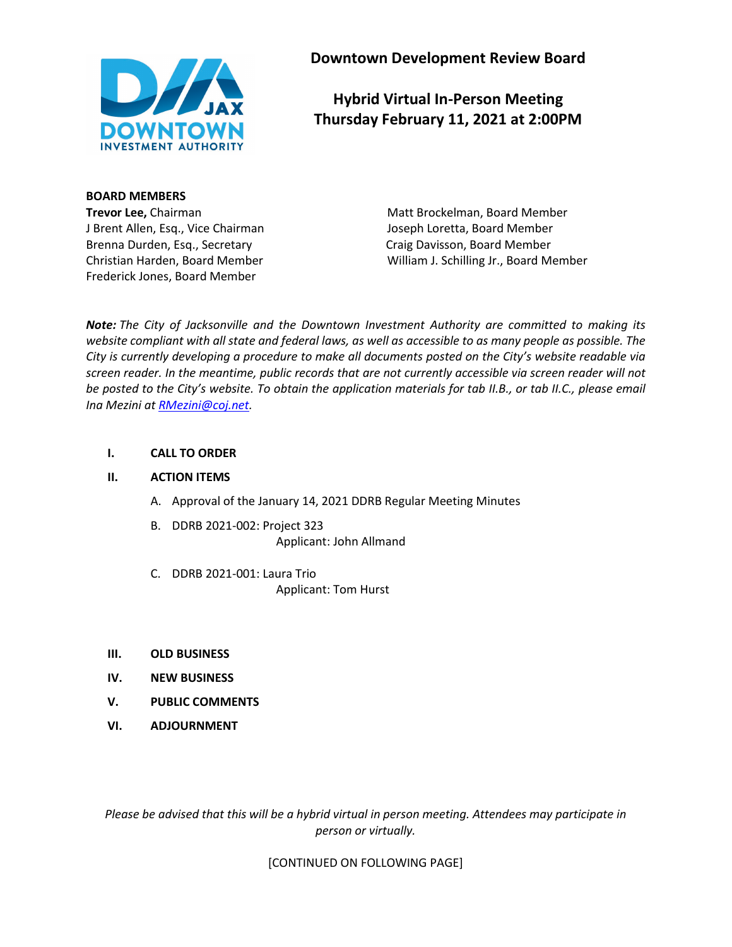

**Downtown Development Review Board**

# **Hybrid Virtual In-Person Meeting Thursday February 11, 2021 at 2:00PM**

**BOARD MEMBERS**

Brenna Durden, Esq., Secretary **Calculary Craig Davisson, Board Member** Craig Davisson, Board Member Frederick Jones, Board Member

**Trevor Lee,** Chairman Matt Brockelman, Board Member J Brent Allen, Esq., Vice Chairman Joseph Loretta, Board Member Christian Harden, Board Member William J. Schilling Jr., Board Member

*Note: The City of Jacksonville and the Downtown Investment Authority are committed to making its website compliant with all state and federal laws, as well as accessible to as many people as possible. The City is currently developing a procedure to make all documents posted on the City's website readable via screen reader. In the meantime, public records that are not currently accessible via screen reader will not be posted to the City's website. To obtain the application materials for tab II.B., or tab II.C., please email Ina Mezini a[t RMezini@coj.net.](mailto:RMezini@coj.net)*

## **I. CALL TO ORDER**

## **II. ACTION ITEMS**

- A. Approval of the January 14, 2021 DDRB Regular Meeting Minutes
- B. DDRB 2021-002: Project 323 Applicant: John Allmand
- C. DDRB 2021-001: Laura Trio Applicant: Tom Hurst
- **III. OLD BUSINESS**
- **IV. NEW BUSINESS**
- **V. PUBLIC COMMENTS**
- **VI. ADJOURNMENT**

*Please be advised that this will be a hybrid virtual in person meeting. Attendees may participate in person or virtually.*

[CONTINUED ON FOLLOWING PAGE]